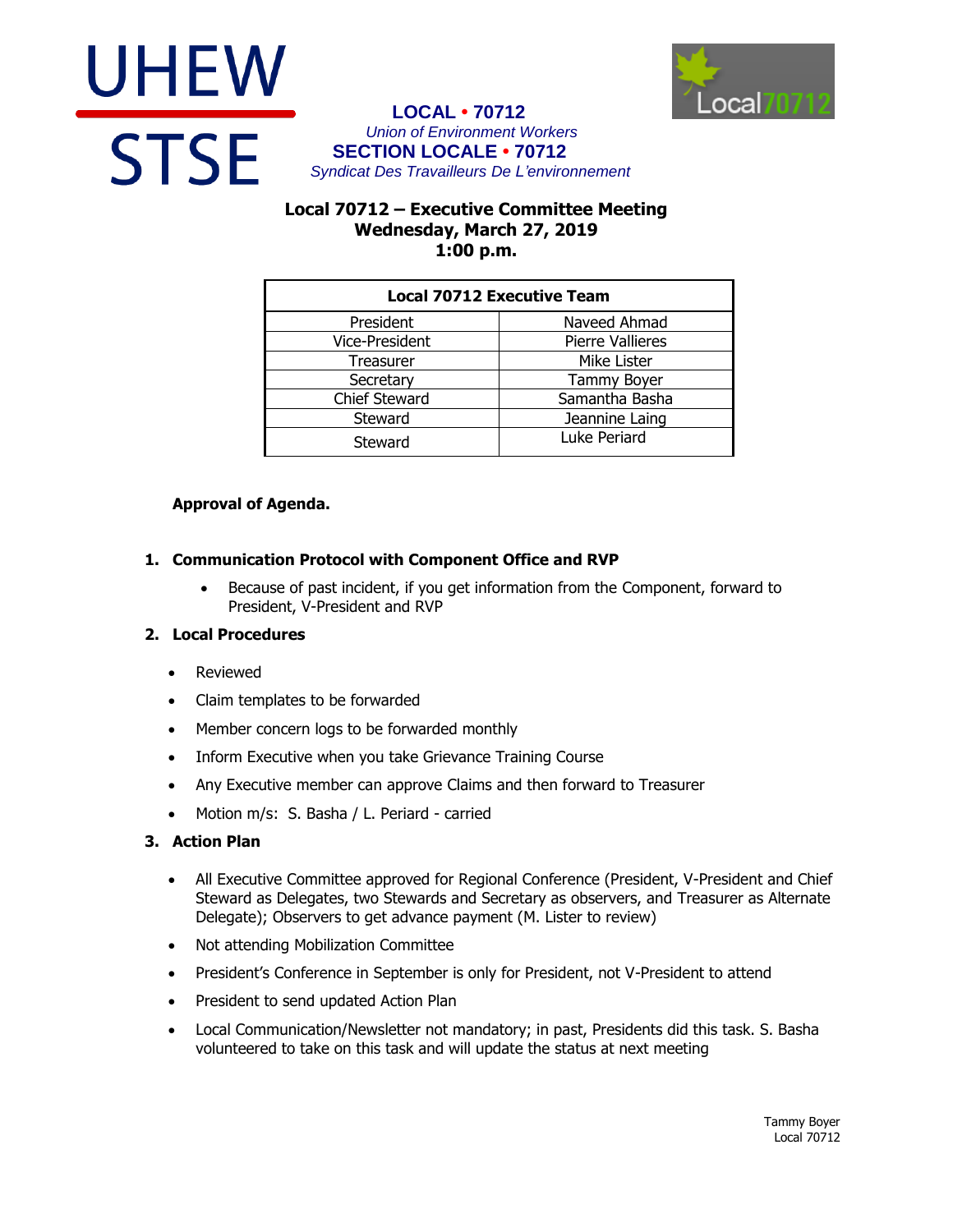



#### **LOCAL • 70712** *Union of Environment Workers* **SECTION LOCALE • 70712** *Syndicat Des Travailleurs De L'environnement*

# **Local 70712 – Executive Committee Meeting Wednesday, March 27, 2019 1:00 p.m.**

| <b>Local 70712 Executive Team</b> |                         |
|-----------------------------------|-------------------------|
| President                         | Naveed Ahmad            |
| Vice-President                    | <b>Pierre Vallieres</b> |
| Treasurer                         | Mike Lister             |
| Secretary                         | <b>Tammy Boyer</b>      |
| <b>Chief Steward</b>              | Samantha Basha          |
| Steward                           | Jeannine Laing          |
| Steward                           | Luke Periard            |

# **Approval of Agenda.**

## **1. Communication Protocol with Component Office and RVP**

 Because of past incident, if you get information from the Component, forward to President, V-President and RVP

## **2. Local Procedures**

- Reviewed
- Claim templates to be forwarded
- Member concern logs to be forwarded monthly
- Inform Executive when you take Grievance Training Course
- Any Executive member can approve Claims and then forward to Treasurer
- Motion m/s: S. Basha / L. Periard carried

#### **3. Action Plan**

- All Executive Committee approved for Regional Conference (President, V-President and Chief Steward as Delegates, two Stewards and Secretary as observers, and Treasurer as Alternate Delegate); Observers to get advance payment (M. Lister to review)
- Not attending Mobilization Committee
- President's Conference in September is only for President, not V-President to attend
- President to send updated Action Plan
- Local Communication/Newsletter not mandatory; in past, Presidents did this task. S. Basha volunteered to take on this task and will update the status at next meeting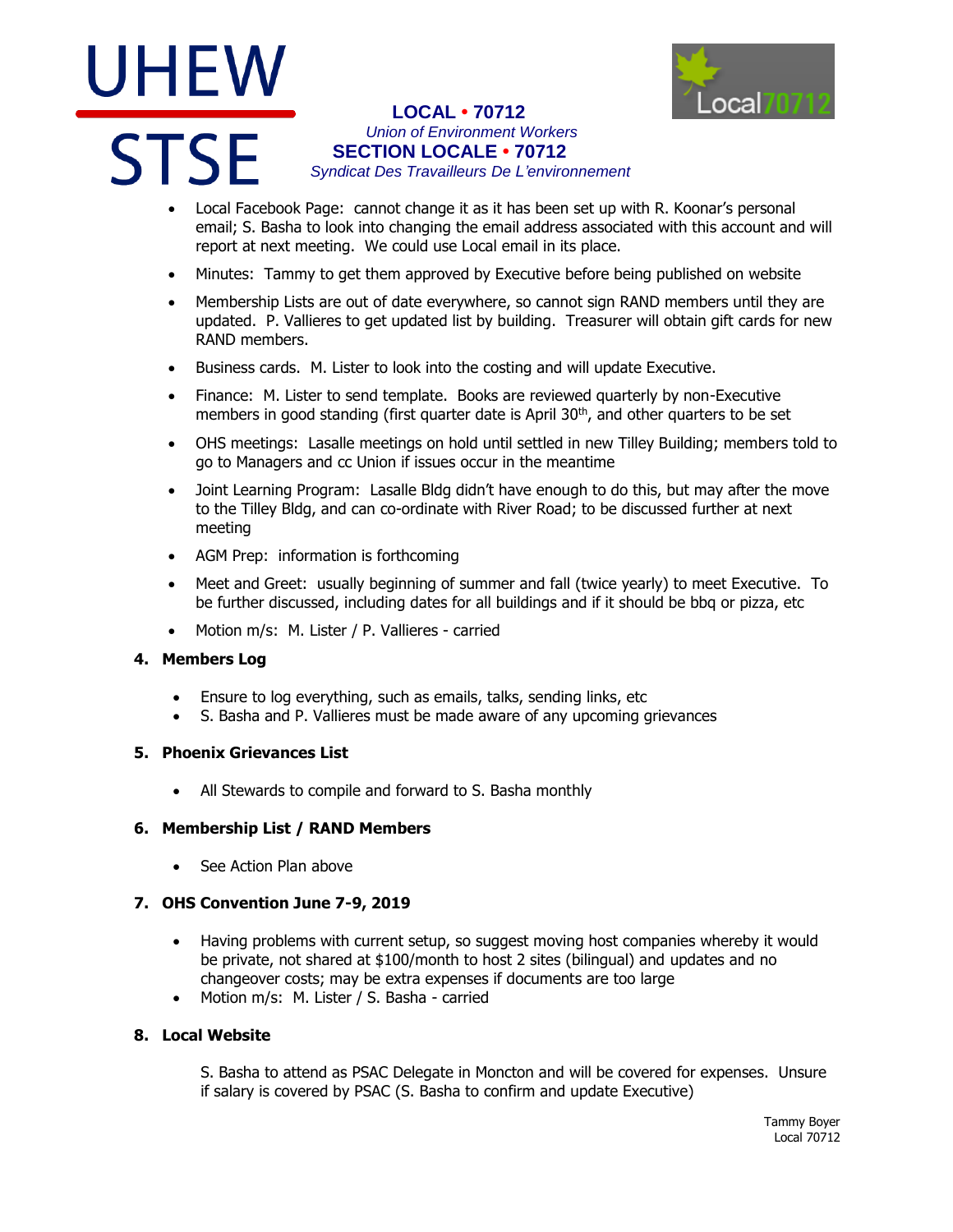# UHEW **STSF**



## **LOCAL • 70712** *Union of Environment Workers* **SECTION LOCALE • 70712** *Syndicat Des Travailleurs De L'environnement*

- Local Facebook Page: cannot change it as it has been set up with R. Koonar's personal email; S. Basha to look into changing the email address associated with this account and will report at next meeting. We could use Local email in its place.
- Minutes: Tammy to get them approved by Executive before being published on website
- Membership Lists are out of date everywhere, so cannot sign RAND members until they are updated. P. Vallieres to get updated list by building. Treasurer will obtain gift cards for new RAND members.
- Business cards. M. Lister to look into the costing and will update Executive.
- Finance: M. Lister to send template. Books are reviewed quarterly by non-Executive members in good standing (first quarter date is April 30<sup>th</sup>, and other quarters to be set
- OHS meetings: Lasalle meetings on hold until settled in new Tilley Building; members told to go to Managers and cc Union if issues occur in the meantime
- Joint Learning Program: Lasalle Bldg didn't have enough to do this, but may after the move to the Tilley Bldg, and can co-ordinate with River Road; to be discussed further at next meeting
- AGM Prep: information is forthcoming
- Meet and Greet: usually beginning of summer and fall (twice yearly) to meet Executive. To be further discussed, including dates for all buildings and if it should be bbq or pizza, etc
- Motion m/s: M. Lister / P. Vallieres carried

#### **4. Members Log**

- Ensure to log everything, such as emails, talks, sending links, etc
- S. Basha and P. Vallieres must be made aware of any upcoming grievances

#### **5. Phoenix Grievances List**

All Stewards to compile and forward to S. Basha monthly

#### **6. Membership List / RAND Members**

See Action Plan above

# **7. OHS Convention June 7-9, 2019**

- Having problems with current setup, so suggest moving host companies whereby it would be private, not shared at \$100/month to host 2 sites (bilingual) and updates and no changeover costs; may be extra expenses if documents are too large
- Motion m/s: M. Lister / S. Basha carried

#### **8. Local Website**

S. Basha to attend as PSAC Delegate in Moncton and will be covered for expenses. Unsure if salary is covered by PSAC (S. Basha to confirm and update Executive)